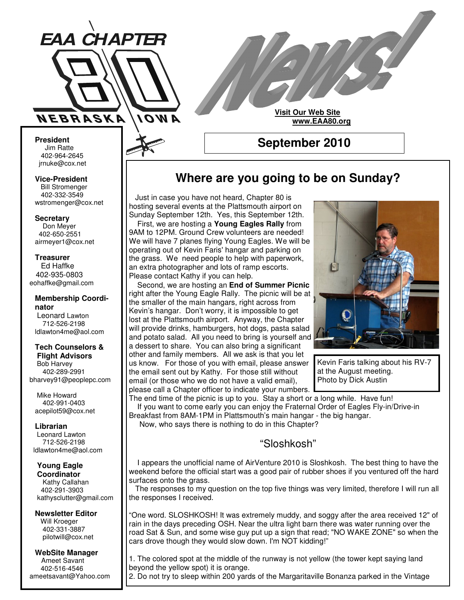

# **Visit Our Web Site www.EAA80.org**

**President** Jim Ratte 402-964-2645 jrnuke@cox.net Jim Ratte<br>402-964-2645<br>rnuke@cox.net<br>**ice-President**<br>Bill Stromenger

**Vice-President Bill Stromenger** 402-332-3549 jrnuke@cox.net 402-332-3549wstromenger@cox.net

**Secretary**

Don Meyer Don Meyer 402-650-2551 airmeyer1@cox.net

**Treasurer** Ed Haffke Ed Haffke 402-935-0803 eohaffke@gmail.com

#### **Membership Coordinator** Leonard Lawton 402-895-0125 712-526-2198 ldlawton4me@aol.com

**Tech Counselors & Tech Counselors &**

**Flight Advisors Flight Advisors** Bob Harvey Bob Harvey 402-289-2991 402-289-2991 bharvey91@peoplepc.com bharvey91@peoplepc.com

Mike Howard Mike Howard 402-991-0403 402-991-0403 acepilot59@cox.net acepilot59@cox.net

**Librarian Librarian**

Leonard Lawton Leonard Lawton 712-526-2198 712-526-2198 ldlawton4me@aol.com ldlawton4me@aol.com

# **Young Eagle Young Eagle**

**Coordinator Coordinator** Kathy Callahan 402-291-3903 kathysclutter@gmail.com

**Newsletter Editor Newsletter Editor** Will Kroeger Will Kroeger 402-331-3887 402-331-3887 pilotwill@cox.net pilotwill@cox.net

**WebSite Manager WebSite Manager** Ameet Savant Ameet Savant 402-516-4546 402-516-4546 ameetsavant@Yahoo.com ameetsavant@Yahoo.com

# **Where are you going to be on Sunday?**

**September 2010**

Just in case you have not heard, Chapter 80 is hosting several events at the Plattsmouth airport on Sunday September 12th. Yes, this September 12th. First, we are hosting a **Young Eagles Rally** from 9AM to 12PM. Ground Crew volunteers are needed! We will have 7 planes flying Young Eagles. We will be operating out of Kevin Faris' hangar and parking on the grass. We need people to help with paperwork, an extra photographer and lots of ramp escorts. Please contact Kathy if you can help.

Second, we are hosting an **End of Summer Picnic** right after the Young Eagle Rally. The picnic will be at the smaller of the main hangars, right across from Kevin's hangar. Don't worry, it is impossible to get lost at the Plattsmouth airport. Anyway, the Chapter will provide drinks, hamburgers, hot dogs, pasta salad and potato salad. All you need to bring is yourself and a dessert to share. You can also bring a significant other and family members. All we ask is that you let us know. For those of you with email, please answer the email sent out by Kathy. For those still without email (or those who we do not have a valid email), please call a Chapter officer to indicate your numbers.



Kevin Faris talking about his RV-7 at the August meeting. Photo by Dick Austin

The end time of the picnic is up to you. Stay a short or a long while. Have fun! If you want to come early you can enjoy the Fraternal Order of Eagles Fly-in/Drive-in Breakfast from 8AM-1PM in Plattsmouth's main hangar - the big hangar. Now, who says there is nothing to do in this Chapter?

"Sloshkosh"

I appears the unofficial name of AirVenture 2010 is Sloshkosh. The best thing to have the weekend before the official start was a good pair of rubber shoes if you ventured off the hard surfaces onto the grass.

The responses to my question on the top five things was very limited, therefore I will run all the responses I received.

"One word. SLOSHKOSH! It was extremely muddy, and soggy after the area received 12" of rain in the days preceding OSH. Near the ultra light barn there was water running over the road Sat & Sun, and some wise guy put up a sign that read; "NO WAKE ZONE" so when the cars drove though they would slow down. I'm NOT kidding!"

1. The colored spot at the middle of the runway is not yellow (the tower kept saying land beyond the yellow spot) it is orange.

2. Do not try to sleep within 200 yards of the Margaritaville Bonanza parked in the Vintage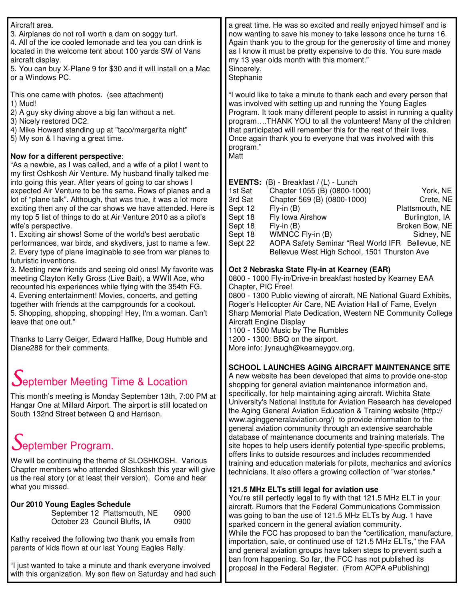| Aircraft area.<br>3. Airplanes do not roll worth a dam on soggy turf.<br>4. All of the ice cooled lemonade and tea you can drink is<br>located in the welcome tent about 100 yards SW of Vans<br>aircraft display.<br>5. You can buy X-Plane 9 for \$30 and it will install on a Mac<br>or a Windows PC.                                                                                                                                                                                                                                                                                                                              | a great time. He was so excited and really enjoyed himself and is<br>now wanting to save his money to take lessons once he turns 16.<br>Again thank you to the group for the generosity of time and money<br>as I know it must be pretty expensive to do this. You sure made<br>my 13 year olds month with this moment."<br>Sincerely,<br>Stephanie                                                                                                                                                                                                                                                                                                                                                                                                                                                                                                                             |
|---------------------------------------------------------------------------------------------------------------------------------------------------------------------------------------------------------------------------------------------------------------------------------------------------------------------------------------------------------------------------------------------------------------------------------------------------------------------------------------------------------------------------------------------------------------------------------------------------------------------------------------|---------------------------------------------------------------------------------------------------------------------------------------------------------------------------------------------------------------------------------------------------------------------------------------------------------------------------------------------------------------------------------------------------------------------------------------------------------------------------------------------------------------------------------------------------------------------------------------------------------------------------------------------------------------------------------------------------------------------------------------------------------------------------------------------------------------------------------------------------------------------------------|
| This one came with photos. (see attachment)<br>1) Mud!<br>2) A guy sky diving above a big fan without a net.<br>3) Nicely restored DC2.<br>4) Mike Howard standing up at "taco/margarita night"<br>5) My son & I having a great time.<br>Now for a different perspective:<br>"As a newbie, as I was called, and a wife of a pilot I went to                                                                                                                                                                                                                                                                                           | "I would like to take a minute to thank each and every person that<br>was involved with setting up and running the Young Eagles<br>Program. It took many different people to assist in running a quality<br>programTHANK YOU to all the volunteers! Many of the children<br>that participated will remember this for the rest of their lives.<br>Once again thank you to everyone that was involved with this<br>program."<br>Matt                                                                                                                                                                                                                                                                                                                                                                                                                                              |
| my first Oshkosh Air Venture. My husband finally talked me<br>into going this year. After years of going to car shows I<br>expected Air Venture to be the same. Rows of planes and a<br>lot of "plane talk". Although, that was true, it was a lot more<br>exciting then any of the car shows we have attended. Here is<br>my top 5 list of things to do at Air Venture 2010 as a pilot's<br>wife's perspective.<br>1. Exciting air shows! Some of the world's best aerobatic<br>performances, war birds, and skydivers, just to name a few.<br>2. Every type of plane imaginable to see from war planes to<br>futuristic inventions. | EVENTS: (B) - Breakfast / (L) - Lunch<br>York, NE<br>1st Sat<br>Chapter 1055 (B) (0800-1000)<br>3rd Sat<br>Chapter 569 (B) (0800-1000)<br>Crete, NE<br>Sept 12<br>$Fly-in(B)$<br>Plattsmouth, NE<br>Fly Iowa Airshow<br>Sept 18<br>Burlington, IA<br>Sept 18<br>Broken Bow, NE<br>$Fly-in(B)$<br>Sept 18<br>WMNCC Fly-in (B)<br>Sidney, NE<br>AOPA Safety Seminar "Real World IFR Bellevue, NE<br>Sept 22<br>Bellevue West High School, 1501 Thurston Ave                                                                                                                                                                                                                                                                                                                                                                                                                       |
| 3. Meeting new friends and seeing old ones! My favorite was<br>meeting Clayton Kelly Gross (Live Bait), a WWII Ace, who<br>recounted his experiences while flying with the 354th FG.<br>4. Evening entertainment! Movies, concerts, and getting<br>together with friends at the campgrounds for a cookout.<br>5. Shopping, shopping, shopping! Hey, I'm a woman. Can't<br>leave that one out."<br>Thanks to Larry Geiger, Edward Haffke, Doug Humble and<br>Diane288 for their comments.                                                                                                                                              | Oct 2 Nebraska State Fly-in at Kearney (EAR)<br>0800 - 1000 Fly-in/Drive-in breakfast hosted by Kearney EAA<br>Chapter, PIC Free!<br>0800 - 1300 Public viewing of aircraft, NE National Guard Exhibits,<br>Roger's Helicopter Air Care, NE Aviation Hall of Fame, Evelyn<br>Sharp Memorial Plate Dedication, Western NE Community College<br><b>Aircraft Engine Display</b><br>1100 - 1500 Music by The Rumbles<br>1200 - 1300: BBQ on the airport.<br>More info: jlynaugh@kearneygov.org.                                                                                                                                                                                                                                                                                                                                                                                     |
| September Meeting Time & Location<br>This month's meeting is Monday September 13th, 7:00 PM at<br>Hangar One at Millard Airport. The airport is still located on<br>South 132nd Street between Q and Harrison.<br>September Program.<br>We will be continuing the theme of SLOSHKOSH. Various<br>Chapter members who attended Sloshkosh this year will give<br>us the real story (or at least their version). Come and hear                                                                                                                                                                                                           | SCHOOL LAUNCHES AGING AIRCRAFT MAINTENANCE SITE<br>A new website has been developed that aims to provide one-stop<br>shopping for general aviation maintenance information and,<br>specifically, for help maintaining aging aircraft. Wichita State<br>University's National Institute for Aviation Research has developed<br>the Aging General Aviation Education & Training website (http://<br>www.aginggeneralaviation.org/) to provide information to the<br>general aviation community through an extensive searchable<br>database of maintenance documents and training materials. The<br>site hopes to help users identify potential type-specific problems,<br>offers links to outside resources and includes recommended<br>training and education materials for pilots, mechanics and avionics<br>technicians. It also offers a growing collection of "war stories." |
| what you missed.<br>Our 2010 Young Eagles Schedule<br>September 12 Plattsmouth, NE<br>0900<br>0900<br>October 23 Council Bluffs, IA<br>Kathy received the following two thank you emails from                                                                                                                                                                                                                                                                                                                                                                                                                                         | 121.5 MHz ELTs still legal for aviation use<br>You're still perfectly legal to fly with that 121.5 MHz ELT in your<br>aircraft. Rumors that the Federal Communications Commission<br>was going to ban the use of 121.5 MHz ELTs by Aug. 1 have<br>sparked concern in the general aviation community.<br>While the FCC has proposed to ban the "certification, manufacture,<br>importation, sale, or continued use of 121.5 MHz ELTs," the FAA                                                                                                                                                                                                                                                                                                                                                                                                                                   |
| parents of kids flown at our last Young Eagles Rally.<br>"I just wanted to take a minute and thank everyone involved                                                                                                                                                                                                                                                                                                                                                                                                                                                                                                                  | and general aviation groups have taken steps to prevent such a<br>ban from happening. So far, the FCC has not published its<br>proposal in the Federal Register. (From AOPA ePublishing)                                                                                                                                                                                                                                                                                                                                                                                                                                                                                                                                                                                                                                                                                        |

with this organization. My son flew on Saturday and had such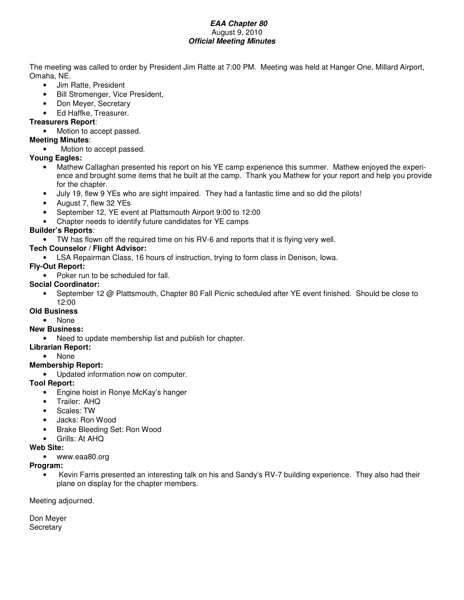#### *EAA Chapter 80* August 9, 2010 *Official Meeting Minutes*

The meeting was called to order by President Jim Ratte at 7:00 PM. Meeting was held at Hanger One, Millard Airport, Omaha, NE.

- Jim Ratte, President
- Bill Stromenger, Vice President,
- Don Meyer, Secretary
- Ed Haffke, Treasurer.

## **Treasurers Report**:

• Motion to accept passed.

#### **Meeting Minutes**:

Motion to accept passed.

#### **Young Eagles:**

- Mathew Callaghan presented his report on his YE camp experience this summer. Mathew enjoyed the experience and brought some items that he built at the camp. Thank you Mathew for your report and help you provide for the chapter.
- July 19, flew 9 YEs who are sight impaired. They had a fantastic time and so did the pilots!
- August 7, flew 32 YEs
- September 12, YE event at Plattsmouth Airport 9:00 to 12:00
- Chapter needs to identify future candidates for YE camps

# **Builder's Reports**:

• TW has flown off the required time on his RV-6 and reports that it is flying very well.

### **Tech Counselor / Flight Advisor:**

• LSA Repairman Class, 16 hours of instruction, trying to form class in Denison, Iowa.

# **Fly-Out Report:**

• Poker run to be scheduled for fall.

#### **Social Coordinator:**

• September 12 @ Plattsmouth, Chapter 80 Fall Picnic scheduled after YE event finished. Should be close to 12:00

#### **Old Business**

• None

### **New Business:**

- Need to update membership list and publish for chapter.
- **Librarian Report:**
	- None

### **Membership Report:**

• Updated information now on computer.

### **Tool Report:**

- Engine hoist in Ronye McKay's hanger
- Trailer: AHQ
- Scales: TW
- Jacks: Ron Wood
- Brake Bleeding Set: Ron Wood
- Grills: At AHQ

#### **Web Site:**

• www.eaa80.org

#### **Program:**

• Kevin Farris presented an interesting talk on his and Sandy's RV-7 building experience. They also had their plane on display for the chapter members.

Meeting adjourned.

Don Meyer **Secretary**